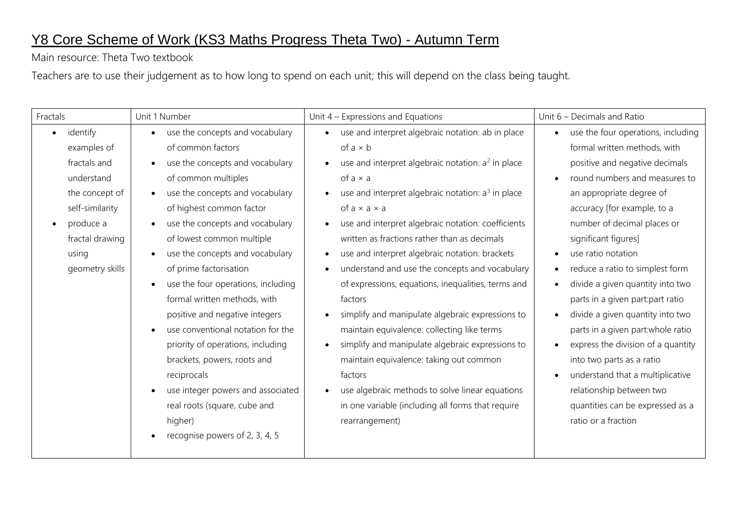## Y8 Core Scheme of Work (KS3 Maths Progress Theta Two) - Autumn Term

Main resource: Theta Two textbook

Teachers are to use their judgement as to how long to spend on each unit; this will depend on the class being taught.

| Fractals              | Unit 1 Number                                   | Unit $4$ – Expressions and Equations                            | Unit 6 - Decimals and Ratio        |
|-----------------------|-------------------------------------------------|-----------------------------------------------------------------|------------------------------------|
| identify<br>$\bullet$ | use the concepts and vocabulary<br>$\bullet$    | • use and interpret algebraic notation: ab in place             | use the four operations, including |
| examples of           | of common factors                               | of $a \times b$                                                 | formal written methods, with       |
| fractals and          | use the concepts and vocabulary                 | use and interpret algebraic notation: a <sup>2</sup> in place   | positive and negative decimals     |
| understand            | of common multiples                             | of $a \times a$                                                 | round numbers and measures to      |
| the concept of        | use the concepts and vocabulary<br>$\bullet$    | use and interpret algebraic notation: a <sup>3</sup> in place   | an appropriate degree of           |
| self-similarity       | of highest common factor                        | of $a \times a \times a$                                        | accuracy [for example, to a        |
| produce a             | use the concepts and vocabulary<br>$\bullet$    | use and interpret algebraic notation: coefficients<br>$\bullet$ | number of decimal places or        |
| fractal drawing       | of lowest common multiple                       | written as fractions rather than as decimals                    | significant figures]               |
| using                 | use the concepts and vocabulary                 | use and interpret algebraic notation: brackets                  | use ratio notation                 |
| geometry skills       | of prime factorisation                          | understand and use the concepts and vocabulary                  | reduce a ratio to simplest form    |
|                       | use the four operations, including<br>$\bullet$ | of expressions, equations, inequalities, terms and              | divide a given quantity into two   |
|                       | formal written methods, with                    | factors                                                         | parts in a given part part ratio   |
|                       | positive and negative integers                  | simplify and manipulate algebraic expressions to                | divide a given quantity into two   |
|                       | use conventional notation for the<br>$\bullet$  | maintain equivalence: collecting like terms                     | parts in a given part: whole ratio |
|                       | priority of operations, including               | simplify and manipulate algebraic expressions to                | express the division of a quantity |
|                       | brackets, powers, roots and                     | maintain equivalence: taking out common                         | into two parts as a ratio          |
|                       | reciprocals                                     | factors                                                         | understand that a multiplicative   |
|                       | use integer powers and associated<br>$\bullet$  | use algebraic methods to solve linear equations                 | relationship between two           |
|                       | real roots (square, cube and                    | in one variable (including all forms that require               | quantities can be expressed as a   |
|                       | higher)                                         | rearrangement)                                                  | ratio or a fraction                |
|                       | recognise powers of 2, 3, 4, 5                  |                                                                 |                                    |
|                       |                                                 |                                                                 |                                    |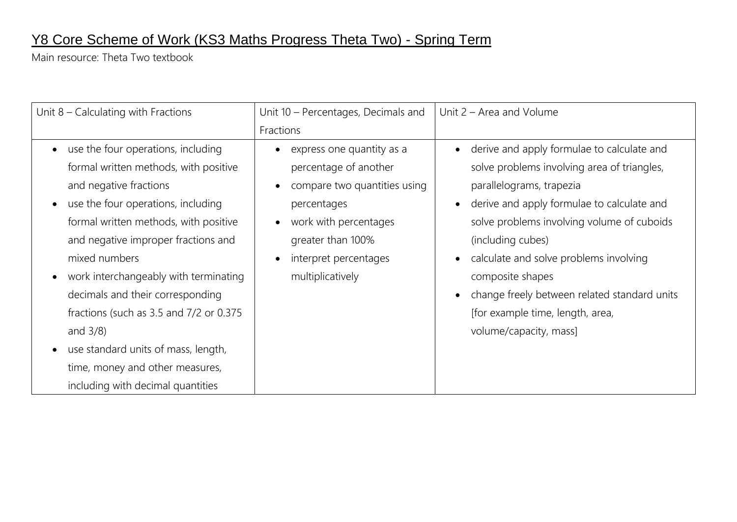## Y8 Core Scheme of Work (KS3 Maths Progress Theta Two) - Spring Term

Main resource: Theta Two textbook

| Unit $8$ – Calculating with Fractions                                                                                                                                                                                                                                                                                                                                                                                                                                                    | Unit 10 - Percentages, Decimals and                                                                                                                                                                       | Unit 2 – Area and Volume                                                                                                                                                                                                                                                                                                                                                                                           |  |  |
|------------------------------------------------------------------------------------------------------------------------------------------------------------------------------------------------------------------------------------------------------------------------------------------------------------------------------------------------------------------------------------------------------------------------------------------------------------------------------------------|-----------------------------------------------------------------------------------------------------------------------------------------------------------------------------------------------------------|--------------------------------------------------------------------------------------------------------------------------------------------------------------------------------------------------------------------------------------------------------------------------------------------------------------------------------------------------------------------------------------------------------------------|--|--|
|                                                                                                                                                                                                                                                                                                                                                                                                                                                                                          | Fractions                                                                                                                                                                                                 |                                                                                                                                                                                                                                                                                                                                                                                                                    |  |  |
| use the four operations, including<br>$\bullet$<br>formal written methods, with positive<br>and negative fractions<br>use the four operations, including<br>$\bullet$<br>formal written methods, with positive<br>and negative improper fractions and<br>mixed numbers<br>work interchangeably with terminating<br>decimals and their corresponding<br>fractions (such as 3.5 and 7/2 or 0.375)<br>and $3/8$ )<br>use standard units of mass, length,<br>time, money and other measures, | express one quantity as a<br>percentage of another<br>compare two quantities using<br>percentages<br>work with percentages<br>greater than 100%<br>interpret percentages<br>$\bullet$<br>multiplicatively | derive and apply formulae to calculate and<br>solve problems involving area of triangles,<br>parallelograms, trapezia<br>derive and apply formulae to calculate and<br>solve problems involving volume of cuboids<br>(including cubes)<br>calculate and solve problems involving<br>composite shapes<br>change freely between related standard units<br>[for example time, length, area,<br>volume/capacity, mass] |  |  |
| including with decimal quantities                                                                                                                                                                                                                                                                                                                                                                                                                                                        |                                                                                                                                                                                                           |                                                                                                                                                                                                                                                                                                                                                                                                                    |  |  |